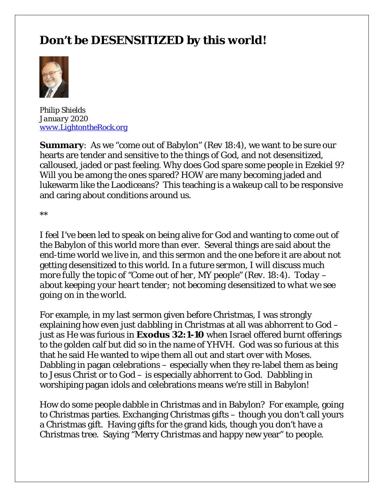# **Don't be DESENSITIZED by this world!**



*Philip Shields January 2020 [www.LightontheRock.org](http://www.lightontherock.org/)*

**Summary:** As we "come out of Babylon" (Rev 18:4), we want to be sure our hearts are tender and sensitive to the things of God, and not desensitized, calloused, jaded or past feeling. Why does God spare some people in Ezekiel 9? Will you be among the ones spared? HOW are many becoming jaded and lukewarm like the Laodiceans? This teaching is a wakeup call to be responsive and caring about conditions around us.

\*\*

I feel I've been led to speak on being alive for God and wanting to come out of the Babylon of this world more than ever. Several things are said about the end-time world we live in, and this sermon and the one before it are about not getting desensitized to this world*. In a future sermon, I will discuss much more fully the topic of "Come out of her, MY people" (Rev. 18:4). Today – about keeping your heart tender; not becoming desensitized to what we see going on in the world.* 

For example, in my last sermon given before Christmas, I was strongly explaining how even *just dabbling in Christm*as at all was abhorrent to God – just as He was furious in **Exodus 32:1-10** when Israel offered burnt offerings to the golden calf but *did so in the name of YHVH*. God was so furious at this that he said He wanted to wipe them all out and start over with Moses. Dabbling in pagan celebrations – especially when they re-label them as being to Jesus Christ or to God – is especially abhorrent to God. Dabbling in worshiping pagan idols and celebrations means we're still in Babylon!

How do some people dabble in Christmas and in Babylon? For example, going to Christmas parties. Exchanging Christmas gifts – though you don't call yours a Christmas gift. Having gifts for the grand kids, though you don't have a Christmas tree. Saying "Merry Christmas and happy new year" to people.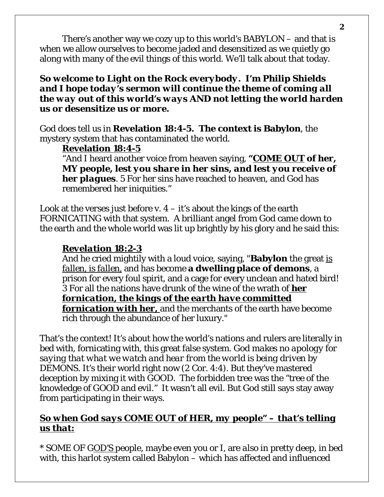There's another way we cozy up to this world's BABYLON – and that is when we allow ourselves to become jaded and desensitized as we quietly go along with many of the evil things of this world. We'll talk about that today.

#### *So welcome to Light on the Rock everybody. I'm Philip Shields and I hope today's sermon will continue the theme of coming all the way out of this world's ways AND not letting the world harden us or desensitize us or more.*

God does tell us in **Revelation 18:4-5. The context is Babylon**, the mystery system that has contaminated the world.

### **Revelation 18:4-5**

"And I heard another voice from heaven saying, *"COME OUT of her, MY people, lest you share in her sins, and lest you receive of her plagues*. 5 For her sins have reached to heaven, and God has remembered her iniquities."

Look at the verses just before v.  $4 - it's$  about the kings of the earth FORNICATING with that system. A brilliant angel from God came down to the earth and the whole world was lit up brightly by his glory and he said this:

# *Revelation 18:2-3*

And he cried mightily with a loud voice, saying, "**Babylon** the great *is fallen, is fallen,* and has become **a dwelling place of demons**, a prison for every foul spirit, and a cage for every unclean and hated bird! 3 For all the nations have drunk of the wine of the wrath of *her fornication, the kings of the earth have committed fornication with her,* and the merchants of the earth have become rich through the abundance of her luxury."

That's the context! It's about how the world's nations and rulers are literally in bed with, fornicating with, this great false system. *God makes no apology for saying that what we watch and hear from the world is being driven by DEMONS*. It's their world right now (2 Cor. 4:4). But they've mastered deception by mixing it with GOOD. The forbidden tree was the "tree of the knowledge of GOOD and evil." It wasn't all evil. But God still says stay away

# from participating in their ways.

# *So when God says COME OUT of HER, my people" – that's telling us that:*

\* SOME OF G*OD'S* people, maybe even you or I, are *also* in pretty deep, in bed with, this harlot system called Babylon – which has affected and influenced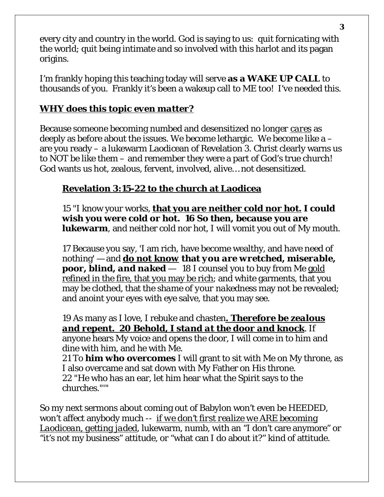every city and country in the world. God is saying to us: quit *fornicating* with the world; quit being intimate and so involved with this harlot and its pagan origins.

I'm frankly hoping this teaching today will serve **as a WAKE UP CALL** to thousands of you. Frankly it's been a wakeup call to ME too! I've needed this.

# *WHY does this topic even matter?*

Because someone becoming numbed and desensitized *no longer cares* as deeply as before about the issues. We become lethargic. We become like a – are you ready – a lukewarm Laodicean of Revelation 3. Christ clearly warns us to NOT be like them – and remember they were a part of God's true church! God wants us hot, zealous, fervent, involved, alive… not desensitized.

# **Revelation 3:15-22 to the church at Laodicea**

15 "I know your works, **that you are neither cold nor hot. I could wish you were cold or hot. 16 So then, because you are lukewarm**, and neither cold nor hot, I will vomit you out of My mouth.

17 Because you say, 'I am rich, have become wealthy, and have need of nothing' — and *do not know* **that** *you are wretched, miserable, poor, blind, and naked* — 18 I counsel you to buy from Me gold refined in the fire, that you may be rich; and white garments, that you may be clothed, that the *shame of your nakedness* may not be revealed; and anoint your eyes with eye salve, that you may see.

19 As many as I love, I rebuke and chasten*. Therefore be zealous and repent. 20 Behold, I stand at the door and knock*. If anyone hears My voice and opens the door, I will come in to him and dine with him, and he with Me.

21 To **him who overcomes** I will grant to sit with Me on My throne, as I also overcame and sat down with My Father on His throne. 22 "He who has an ear, let him hear what the Spirit says to the churches."'"

So my next sermons about coming out of Babylon won't even be HEEDED, won't affect anybody much -- *if we don't first realize we ARE becoming Laodicean, getting jaded*, lukewarm, numb, with an "I don't care anymore" or "it's not my business" attitude, or "what can I do about it?" kind of attitude.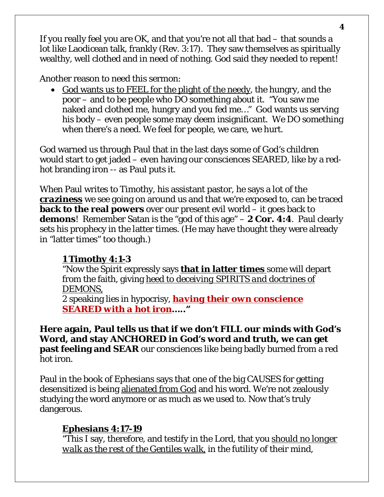If you really feel you are OK, and that you're not all that bad – that sounds a lot like Laodicean talk, frankly (Rev. 3:17). They saw themselves as spiritually wealthy, well clothed and in need of nothing. God said they needed to repent!

Another reason to need this sermon:

• God wants us to FEEL for the plight of the needy, the hungry, and the poor – and to be people who DO something about it. "You saw me naked and clothed me, hungry and you fed me…" God wants us serving his body – even people some may deem insignificant. We DO something when there's a need. We feel for people, we care, we hurt.

God warned us through Paul that in the last days some of God's children would start to get jaded – even having our consciences SEARED, like by a redhot branding iron -- as Paul puts it.

When Paul writes to Timothy, his assistant pastor, he says a lot of the *craziness* we see going on around us and that we're exposed to, can be traced **back to the real powers** over our present evil world – it goes back to **demons**! Remember Satan is the "god of this age" – **2 Cor. 4:4**. Paul clearly sets his prophecy in the latter times. (He may have thought they were already in "latter times" too though.)

# **1 Timothy 4:1-3**

"Now the Spirit expressly says **that in latter times** some will depart from the faith, giving *heed to deceiving SPIRITS and doctrines of DEMONS,*

2 speaking lies in hypocrisy, *having their own conscience SEARED with a hot iron***….."** 

**Here again, Paul tells us that if we don't FILL our minds with God's Word, and stay ANCHORED in God's word and truth, we can get past feeling and SEAR** our consciences like being badly burned from a red hot iron.

Paul in the book of Ephesians says that one of the big CAUSES for getting desensitized is being alienated from God and his word. We're not zealously studying the word anymore or as much as we used to. Now that's truly dangerous.

# **Ephesians 4:17-19**

"This I say, therefore, and testify in the Lord, that you *should no longer walk as the rest of the Gentiles walk*, in the futility of their mind,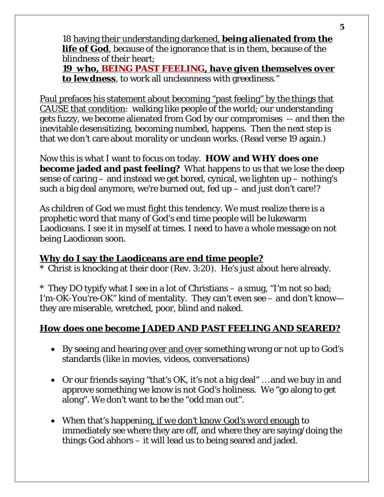18 having their understanding darkened, **being alienated from the life of God**, because of the ignorance that is in them, because of the blindness of their heart;

*19 who, BEING PAST FEELING, have given themselves over to lewdness*, to work all uncleanness with greediness."

Paul prefaces his statement about becoming "past feeling" by the things that CAUSE that condition: walking like people of the world; our understanding gets fuzzy, we become alienated from God by our compromises -- and then the inevitable desensitizing, becoming numbed, happens. Then the next step is that we don't care about morality or unclean works. (Read verse 19 again.)

Now this is what I want to focus on today. **HOW and WHY does one become jaded and past feeling?** What happens to us that we lose the deep sense of caring – and instead we get bored, cynical, we lighten up – nothing's such a big deal anymore, we're burned out, fed up – and just don't care!?

As children of God we must fight this tendency. We must realize there is a prophetic word that many of God's end time people will be lukewarm Laodiceans. I see it in myself at times. I need to have a whole message on not being Laodicean soon.

#### **Why do I say the Laodiceans are end time people?**

\* Christ is knocking at their door (Rev. 3:20). He's just about here already.

\* They DO typify what I see in a lot of Christians – a smug, "I'm not so bad; I'm-OK-You're-OK" kind of mentality. They can't even see – and don't know they are miserable, wretched, poor, blind and naked.

# **How does one become JADED AND PAST FEELING AND SEARED?**

- By seeing and hearing over and over something wrong or not up to God's standards (like in movies, videos, conversations)
- Or our friends saying "that's OK, it's not a big deal" … and we buy in and approve something we know is not God's holiness. We "go along to get along". We don't want to be the "odd man out".
- When that's happening*, if we don't know God's word enough* to immediately see where they are off, and where they are saying/doing the things God abhors – it will lead us to being seared and jaded.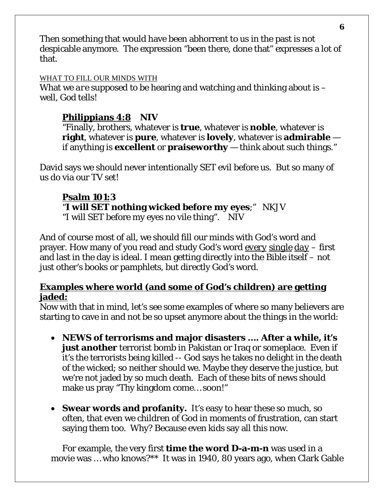Then something that would have been abhorrent to us in the past is not despicable anymore. The expression "been there, done that" expresses a lot of that.

#### WHAT TO FILL OUR MINDS WITH

What we *are* supposed to be hearing and watching and thinking about is – well, God tells!

# **Philippians 4:8 NIV**

"Finally, brothers, whatever is **true**, whatever is **noble**, whatever is **right**, whatever is **pure**, whatever is **lovely**, whatever is **admirable** if anything is **excellent** or **praiseworthy** — think about such things."

David says we should never intentionally SET evil before us. But so many of us do via our TV *set*!

# **Psalm 101:3**

"**I will SET nothing wicked before my eyes**;" NKJV "I will SET before my eyes no vile thing". NIV

And of course most of all, we should fill our minds with God's word and prayer. How many of you read and study God's word *every single day* – first and last in the day is ideal. I mean getting directly into the Bible itself – not just other's books or pamphlets, but directly God's word.

#### **Examples where world (and some of God's children) are getting jaded:**

Now with that in mind, let's see some examples of where so many believers are starting to cave in and not be so upset anymore about the things in the world:

- **NEWS of terrorisms and major disasters …. After a while, it's just another** terrorist bomb in Pakistan or Iraq or someplace. Even if it's the terrorists being killed -- God says he takes no delight in the death of the wicked; so neither should we. Maybe they deserve the justice, but we're not jaded by so much death. Each of these bits of news should make us pray "Thy kingdom come… soon!"
- **Swear words and profanity.** It's easy to hear these so much, so often, that even we children of God in moments of frustration, can start saying them too. Why? Because even kids say all this now.

For example, the very first **time the word D-a-m-n** was used in a movie was … who knows?\*\* It was in 1940, 80 years ago, when Clark Gable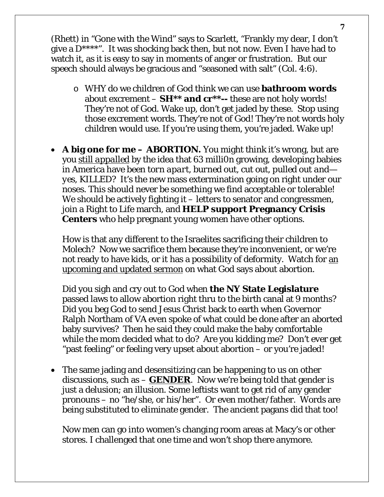(Rhett) in "Gone with the Wind" says to Scarlett, "Frankly my dear, I don't give a  $D^{***}$ ". It was shocking back then, but not now. Even I have had to watch it, as it is easy to say in moments of anger or frustration. But our speech should always be gracious and "seasoned with salt" (Col. 4:6).

- o WHY do we children of God think we can use **bathroom words** about excrement – **SH\*\* and cr\*\*--** these are not holy words! They're not of God. Wake up, don't get jaded by these. Stop using those excrement words. They're not of God! They're not words holy children would use. If you're using them, you're jaded. Wake up!
- **A big one for me – ABORTION.** You might think it's wrong, but are you *still appalled* by the idea that 63 milli0n growing, developing babies in America have been *torn apart, burned out, cut out, pulled out and yes, KILLED?* It's the new mass extermination going on right under our noses. This should never be something we find acceptable or tolerable! We should be actively fighting it – letters to senator and congressmen, join a Right to Life march, and **HELP support Pregnancy Crisis Centers** who help pregnant young women have other options.

How is that any different to the Israelites sacrificing their children to Molech? Now we sacrifice them because they're inconvenient, or we're not ready to have kids, or it has a possibility of deformity. Watch for an upcoming and updated sermon on what God says about abortion.

Did you sigh and cry out to God when **the NY State Legislature** passed laws to allow abortion right thru to the birth canal at 9 months? Did you beg God to send Jesus Christ back to earth when Governor Ralph Northam of VA even spoke of what could be done after an aborted baby survives? Then he said they could make the baby comfortable while the mom decided what to do? Are you kidding me? Don't ever get "past feeling" or feeling very upset about abortion – or you're jaded!

• The same jading and desensitizing can be happening to us on other discussions, such as  $-\mathbf{GENDER}$ . Now we're being told that gender is just a delusion; an illusion. Some leftists want to get rid of any gender pronouns – no "he/she, or his/her". Or even mother/father. Words are being substituted to eliminate gender. The ancient pagans did that too!

Now men can go into women's changing room areas at Macy's or other stores. I challenged that one time and won't shop there anymore.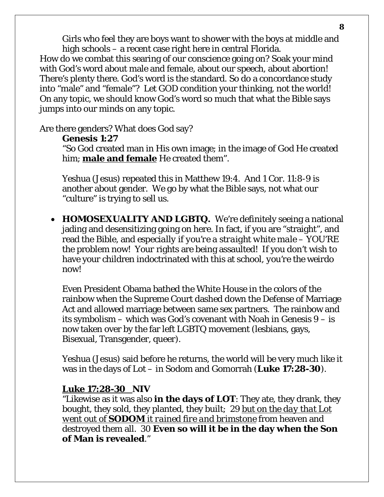Girls who feel they are boys want to shower with the boys at middle and high schools – a recent case right here in central Florida.

How do we combat this searing of our conscience going on? Soak your mind with God's word about male and female, about our speech, about abortion! There's plenty there. God's word is the standard. So do a concordance study into "male" and "female"? Let GOD condition your thinking, not the world! On any topic, we should know God's word so much that what the Bible says jumps into our minds on any topic.

Are there genders? What does God say?

#### **Genesis 1:27**

"So God created man in His own image; in the image of God He created him; **male and female** He created them".

Yeshua (Jesus) repeated this in Matthew 19:4. And 1 Cor. 11:8-9 is another about gender. We go by what the Bible says, not what our "culture" is trying to sell us.

• **HOMOSEXUALITY AND LGBTQ.** We're definitely seeing a national jading and desensitizing going on here. In fact, if you are "straight", and read the Bible, and *especially if you're a straight white male* – YOU'RE the problem now! *Your* rights are being assaulted! If you don't wish to have your children indoctrinated with this at school, *you're the* weirdo now!

Even President Obama bathed the White House in the colors of the rainbow when the Supreme Court dashed down the Defense of Marriage Act and allowed marriage between same sex partners. The rainbow and its symbolism – which was God's covenant with Noah in Genesis 9 – is now taken over by the far left LGBTQ movement (lesbians, gays, Bisexual, Transgender, queer).

Yeshua (Jesus) said before he returns, the world will be very much like it was in the days of Lot – in Sodom and Gomorrah (**Luke 17:28-30**).

#### **Luke 17:28-30 NIV**

"Likewise as it was also **in the days of LOT**: They ate, they drank, they bought, they sold, they planted, they built; 29 *but on the day that Lot went out of SODOM it rained fire and brimstone* from heaven and destroyed them all. 30 **Even so will it be in the day when the Son of Man is revealed**."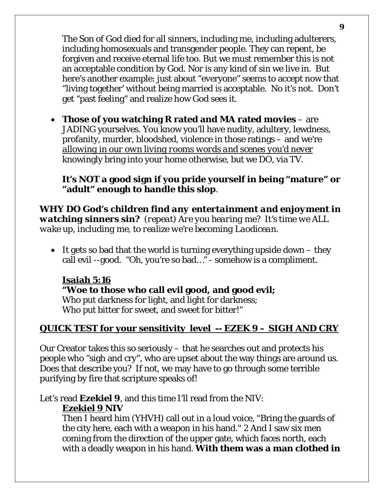The Son of God died for all sinners, including me, including adulterers, including homosexuals and transgender people. They can repent, be forgiven and receive eternal life too. But we must remember this is not an acceptable condition by God. Nor is any kind of sin we live in. But here's another example: just about "everyone" seems to accept now that "living together' without being married is acceptable. No it's not. Don't get "past feeling" and realize how God sees it.

• **Those of you watching R rated and MA rated movies** – are JADING yourselves. You know you'll have nudity, adultery, lewdness, profanity, murder, bloodshed, violence in those ratings – and we're *allowing in our own living rooms words and scenes you'd never* knowingly bring into your home otherwise, but we DO, via TV.

#### **It's NOT a good sign if you pride yourself in being "mature" or "adult" enough to handle this slop**.

*WHY DO God's children find any entertainment and enjoyment in watching sinners sin? (repeat) Are you hearing me? It's time we ALL wake up, including me, to realize we're becoming Laodicean.*

• It gets so bad that the world is turning everything upside down  $-$  they call evil --good. "Oh, you're so bad…" - somehow is a compliment.

#### **Isaiah 5:16 "Woe to those who call evil good, and good evil;** Who put darkness for light, and light for darkness; Who put bitter for sweet, and sweet for bitter!"

# **QUICK TEST for your sensitivity level -- EZEK 9 – SIGH AND CRY**

Our Creator takes this so seriously – that he searches out and protects his people who "sigh and cry", who are upset about the way things are around us. Does that describe you? If not, we may have to go through some terrible purifying by fire that scripture speaks of!

Let's read **Ezekiel 9**, and this time I'll read from the NIV: **Ezekiel 9 NIV**

Then I heard him (YHVH) call out in a loud voice, "Bring the guards of the city here, each with a weapon in his hand." 2 And I saw six men coming from the direction of the upper gate, which faces north, each with a deadly weapon in his hand. **With them was a man clothed in**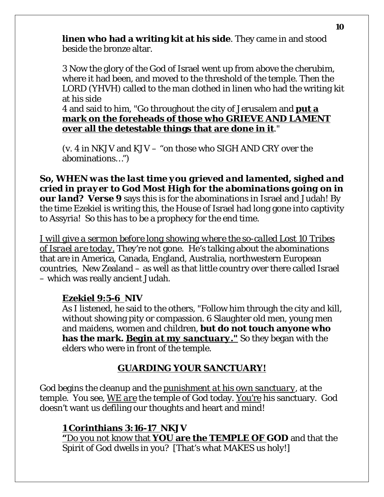**linen who had a writing kit at his side**. They came in and stood beside the bronze altar.

3 Now the glory of the God of Israel went up from above the cherubim, where it had been, and moved to the threshold of the temple. Then the LORD (YHVH) called to the man clothed in linen who had the writing kit at his side

4 and said to him, "Go throughout the city of Jerusalem and **put a mark on the foreheads of those who GRIEVE AND LAMENT over all the detestable things that are done in it**."

(v. 4 in NKJV and KJV – "on those who SIGH AND CRY over the abominations…")

*So, WHEN was the last time you grieved and lamented, sighed and cried in prayer to God Most High for the abominations going on in our land?* **Verse 9** says this is for the abominations in Israel and Judah! By the time Ezekiel is writing this, the House of Israel had long gone into captivity to Assyria! So this *has* to be a prophecy for the end time.

*I will give a sermon before long showing where the so-called Lost 10 Tribes of Israel are today.* They're not gone. He's talking about the abominations that are in America, Canada, England, Australia, northwestern European countries, New Zealand – as well as that little country over there called Israel – which was really ancient Judah.

#### *Ezekiel 9:5-6* **NIV**

As I listened, he said to the others, "Follow him through the city and kill, without showing pity or compassion. 6 Slaughter old men, young men and maidens, women and children, **but do not touch anyone who has the mark.** *Begin at my sanctuary."* So they began with the elders who were in front of the temple.

# *GUARDING YOUR SANCTUARY!*

God begins the cleanup and the *punishment at his own sanctuary*, at the temple. You see, *WE are* the temple of God today. You're his sanctuary. God doesn't want us defiling our thoughts and heart and mind!

# **1 Corinthians 3:16-17 NKJV**

**"**Do you not know that **YOU are the TEMPLE OF GOD** and that the Spirit of God dwells in you? [That's what MAKES us holy!]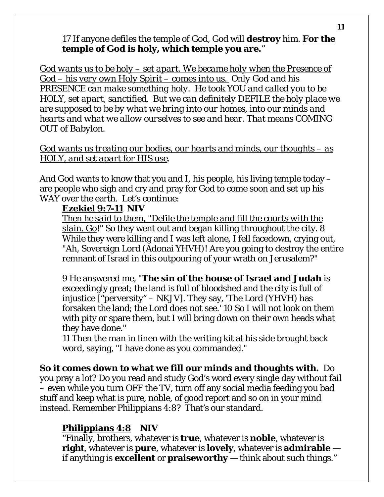#### 17 If anyone defiles the temple of God, God will **destroy** him. **For the temple of God is holy, which temple you are.**"

*God wants us to be holy – set apart. We became holy when the Presence of God – his very own Holy Spirit – comes into us. Only God and his PRESENCE can make something holy. He took YOU and called you to be HOLY, set apart, sanctified. But we can definitely DEFILE the holy place we are supposed to be by what we bring into our homes, into our minds and hearts and what we allow ourselves to see and hear. That means COMING OUT of Babylon.* 

#### *God wants us treating our bodies, our hearts and minds, our thoughts – as HOLY, and set apart for HIS use*.

And God wants to know that you and I, his people, his living temple today – are people who sigh and cry and pray for God to come soon and set up his WAY over the earth. Let's continue:

### **Ezekiel 9:7-11 NIV**

*Then he said to them, "Defile the temple and fill the courts with the slain. Go*!" So they went out and began killing throughout the city. 8 While they were killing and I was left alone, I fell facedown, crying out, "Ah, Sovereign Lord (Adonai YHVH)! Are you going to destroy the entire remnant of Israel in this outpouring of your wrath on Jerusalem?"

9 He answered me, "**The sin of the house of Israel and Judah** is exceedingly great; the land is full of bloodshed and the city is full of injustice ["perversity" – NKJV]. They say, 'The Lord (YHVH) has forsaken the land; the Lord does not see.' 10 So I will not look on them with pity or spare them, but I will bring down on their own heads what they have done."

11 Then the man in linen with the writing kit at his side brought back word, saying, "I have done as you commanded."

# **So it comes down to what we fill our minds and thoughts with.** Do

you pray a lot? Do you read and study God's word every single day without fail – even while you turn OFF the TV, turn off any social media feeding you bad stuff and keep what is pure, noble, of good report and so on in your mind instead. Remember Philippians 4:8? That's our standard.

# **Philippians 4:8 NIV**

"Finally, brothers, whatever is **true**, whatever is **noble**, whatever is **right**, whatever is **pure**, whatever is **lovely**, whatever is **admirable** if anything is **excellent** or **praiseworthy** — think about such things."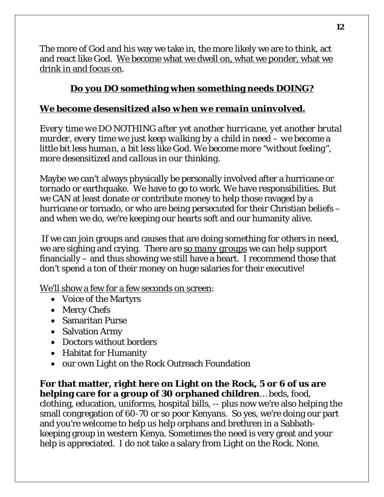The more of God and his way we take in, the more likely we are to think, act and react like God. We *become* what we dwell on, what we ponder, what we drink in and focus on.

# **Do you DO something when something needs DOING?**

# *We become desensitized also when we remain uninvolved.*

*Every time we DO NOTHING after yet another hurricane, yet another brutal murder, every time we just keep walking by a child in need – we become a little bit less human, a bit less like God. We become more "without feeling", more desensitized and callous in our thinking.* 

Maybe we can't always physically be personally involved after a hurricane or tornado or earthquake. We have to go to work. We have responsibilities. But we CAN at least donate or contribute money to help those ravaged by a hurricane or tornado, or who are being persecuted for their Christian beliefs – and when we do, we're keeping our hearts soft and our humanity alive.

If we can join groups and causes that are doing something for others in need, we are sighing and crying. There are *so many groups* we can help support financially – and thus showing we still have a heart. I recommend those that don't spend a ton of their money on huge salaries for their executive!

We'll show a few for a few seconds on screen:

- Voice of the Martyrs
- Mercy Chefs
- Samaritan Purse
- Salvation Army
- Doctors without borders
- Habitat for Humanity
- our own Light on the Rock Outreach Foundation

**For that matter, right here on Light on the Rock, 5 or 6 of us are helping care for a group of 30 orphaned children**… beds, food, clothing, education, uniforms, hospital bills, -- plus now we're also helping the small congregation of 60-70 or so poor Kenyans. So yes, we're doing our part and you're welcome to help us help orphans and brethren in a Sabbathkeeping group in western Kenya. Sometimes the need is very great and your help is appreciated. I do not take a salary from Light on the Rock. None.